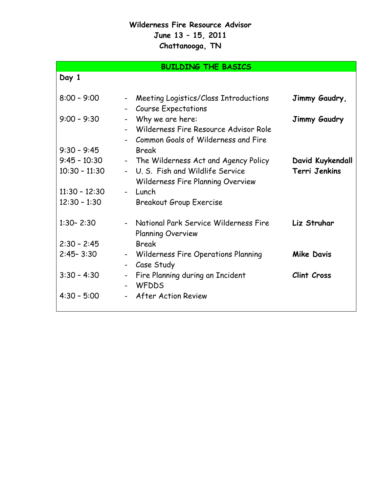## **Wilderness Fire Resource Advisor June 13 – 15, 2011 Chattanooga, TN**

## **BUILDING THE BASICS**

| ×<br>×<br>۰. |  |
|--------------|--|
|--------------|--|

| $8:00 - 9:00$   | Meeting Logistics/Class Introductions<br>$\blacksquare$<br><b>Course Expectations</b>              | Jimmy Gaudry,      |
|-----------------|----------------------------------------------------------------------------------------------------|--------------------|
| $9:00 - 9:30$   | Why we are here:<br>- Wilderness Fire Resource Advisor Role<br>Common Goals of Wilderness and Fire | Jimmy Gaudry       |
| $9:30 - 9:45$   | <b>Break</b>                                                                                       |                    |
| $9:45 - 10:30$  | - The Wilderness Act and Agency Policy                                                             | David Kuykendall   |
| $10:30 - 11:30$ | - U.S. Fish and Wildlife Service<br>Wilderness Fire Planning Overview                              | Terri Jenkins      |
| $11:30 - 12:30$ | - Lunch                                                                                            |                    |
| $12:30 - 1:30$  | <b>Breakout Group Exercise</b>                                                                     |                    |
| $1:30 - 2:30$   | - National Park Service Wilderness Fire<br><b>Planning Overview</b>                                | Liz Struhar        |
| $2:30 - 2:45$   | <b>Break</b>                                                                                       |                    |
| $2:45 - 3:30$   | - Wilderness Fire Operations Planning<br>Case Study<br>$\blacksquare$                              | <b>Mike Davis</b>  |
| $3:30 - 4:30$   | Fire Planning during an Incident<br>$\blacksquare$<br><b>WFDDS</b>                                 | <b>Clint Cross</b> |
| $4:30 - 5:00$   | <b>After Action Review</b>                                                                         |                    |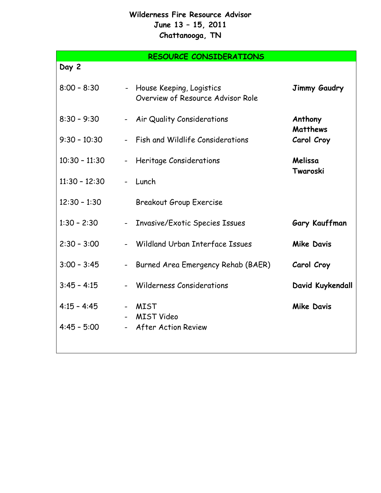## **Wilderness Fire Resource Advisor June 13 – 15, 2011 Chattanooga, TN**

**RESOURCE CONSIDERATIONS Day 2** 8:00 - 8:30 - House Keeping, Logistics Overview of Resource Advisor Role **Jimmy Gaudry** 8:30 – 9:30 - Air Quality Considerations **Anthony Matthews** 9:30 – 10:30 - Fish and Wildlife Considerations **Carol Croy** 10:30 – 11:30 - Heritage Considerations **Melissa Twaroski** 11:30 – 12:30 - Lunch 12:30 – 1:30 Breakout Group Exercise 1:30 – 2:30 - Invasive/Exotic Species Issues **Gary Kauffman** 2:30 – 3:00 - Wildland Urban Interface Issues **Mike Davis** 3:00 – 3:45 - Burned Area Emergency Rehab (BAER) **Carol Croy** 3:45 – 4:15 - Wilderness Considerations **David Kuykendall** 4:15 - 4:45 - MIST - MIST Video **Mike Davis** 4:45 – 5:00 - After Action Review